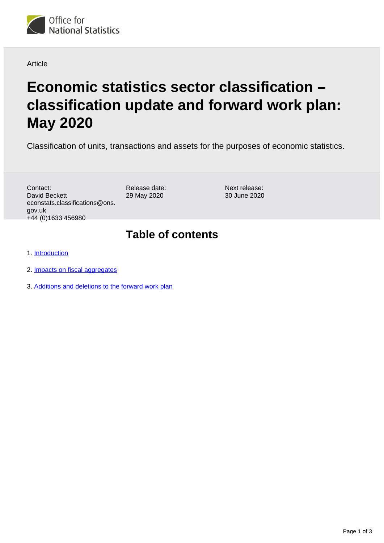

#### Article

# **Economic statistics sector classification – classification update and forward work plan: May 2020**

Classification of units, transactions and assets for the purposes of economic statistics.

Contact: David Beckett econstats.classifications@ons. gov.uk +44 (0)1633 456980

Release date: 29 May 2020

Next release: 30 June 2020

#### **Table of contents**

1. [Introduction](#page-1-0)

- 2. [Impacts on fiscal aggregates](#page-1-1)
- 3. [Additions and deletions to the forward work plan](#page-2-0)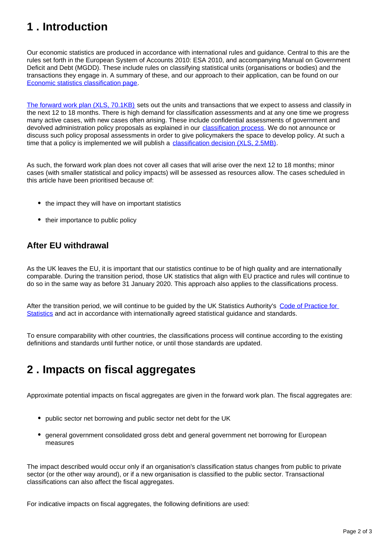## <span id="page-1-0"></span>**1 . Introduction**

Our economic statistics are produced in accordance with international rules and guidance. Central to this are the rules set forth in the European System of Accounts 2010: ESA 2010, and accompanying Manual on Government Deficit and Debt (MGDD). These include rules on classifying statistical units (organisations or bodies) and the transactions they engage in. A summary of these, and our approach to their application, can be found on our [Economic statistics classification page](https://www.ons.gov.uk/methodology/classificationsandstandards/economicstatisticsclassifications).

[The forward work plan \(XLS, 70.1KB\)](https://www.ons.gov.uk/file?uri=/methodology/classificationsandstandards/economicstatisticsclassifications/introductiontoeconomicstatisticsclassifications/may2020fwp.xls) sets out the units and transactions that we expect to assess and classify in the next 12 to 18 months. There is high demand for classification assessments and at any one time we progress many active cases, with new cases often arising. These include confidential assessments of government and devolved administration policy proposals as explained in our *classification process*. We do not announce or discuss such policy proposal assessments in order to give policymakers the space to develop policy. At such a time that a policy is implemented we will publish a [classification decision \(XLS, 2.5MB\)](https://www.ons.gov.uk/file?uri=/methodology/classificationsandstandards/economicstatisticsclassifications/introductiontoeconomicstatisticsclassifications/pscgmay20.xls).

As such, the forward work plan does not cover all cases that will arise over the next 12 to 18 months; minor cases (with smaller statistical and policy impacts) will be assessed as resources allow. The cases scheduled in this article have been prioritised because of:

- the impact they will have on important statistics
- their importance to public policy

#### **After EU withdrawal**

As the UK leaves the EU, it is important that our statistics continue to be of high quality and are internationally comparable. During the transition period, those UK statistics that align with EU practice and rules will continue to do so in the same way as before 31 January 2020. This approach also applies to the classifications process.

After the transition period, we will continue to be guided by the UK Statistics Authority's [Code of Practice for](https://www.statisticsauthority.gov.uk/code-of-practice/)  [Statistics](https://www.statisticsauthority.gov.uk/code-of-practice/) and act in accordance with internationally agreed statistical guidance and standards.

To ensure comparability with other countries, the classifications process will continue according to the existing definitions and standards until further notice, or until those standards are updated.

### <span id="page-1-1"></span>**2 . Impacts on fiscal aggregates**

Approximate potential impacts on fiscal aggregates are given in the forward work plan. The fiscal aggregates are:

- public sector net borrowing and public sector net debt for the UK
- general government consolidated gross debt and general government net borrowing for European measures

The impact described would occur only if an organisation's classification status changes from public to private sector (or the other way around), or if a new organisation is classified to the public sector. Transactional classifications can also affect the fiscal aggregates.

For indicative impacts on fiscal aggregates, the following definitions are used: